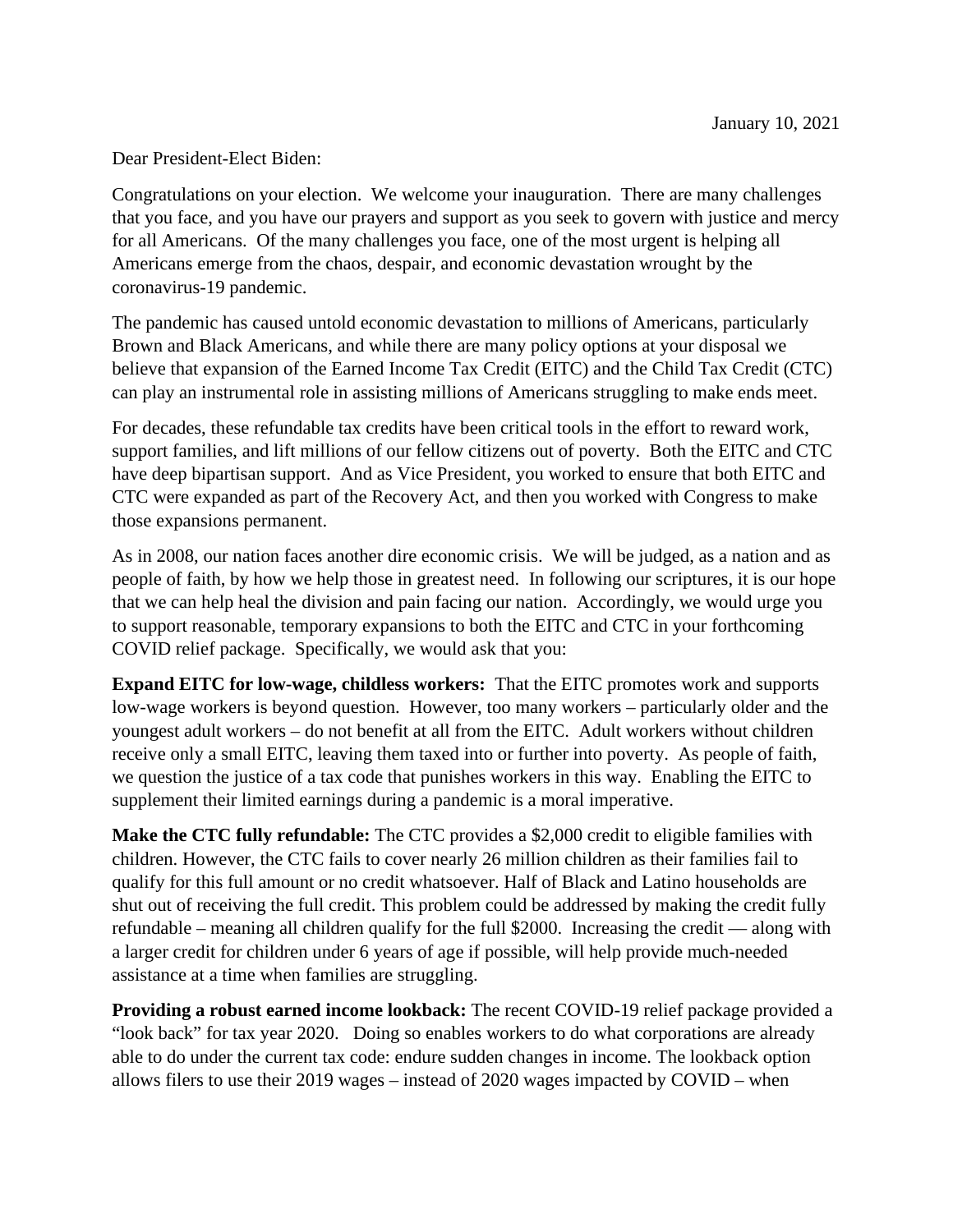Dear President-Elect Biden:

Congratulations on your election. We welcome your inauguration. There are many challenges that you face, and you have our prayers and support as you seek to govern with justice and mercy for all Americans. Of the many challenges you face, one of the most urgent is helping all Americans emerge from the chaos, despair, and economic devastation wrought by the coronavirus-19 pandemic.

The pandemic has caused untold economic devastation to millions of Americans, particularly Brown and Black Americans, and while there are many policy options at your disposal we believe that expansion of the Earned Income Tax Credit (EITC) and the Child Tax Credit (CTC) can play an instrumental role in assisting millions of Americans struggling to make ends meet.

For decades, these refundable tax credits have been critical tools in the effort to reward work, support families, and lift millions of our fellow citizens out of poverty. Both the EITC and CTC have deep bipartisan support. And as Vice President, you worked to ensure that both EITC and CTC were expanded as part of the Recovery Act, and then you worked with Congress to make those expansions permanent.

As in 2008, our nation faces another dire economic crisis. We will be judged, as a nation and as people of faith, by how we help those in greatest need. In following our scriptures, it is our hope that we can help heal the division and pain facing our nation. Accordingly, we would urge you to support reasonable, temporary expansions to both the EITC and CTC in your forthcoming COVID relief package. Specifically, we would ask that you:

**Expand EITC for low-wage, childless workers:** That the EITC promotes work and supports low-wage workers is beyond question. However, too many workers – particularly older and the youngest adult workers – do not benefit at all from the EITC. Adult workers without children receive only a small EITC, leaving them taxed into or further into poverty. As people of faith, we question the justice of a tax code that punishes workers in this way. Enabling the EITC to supplement their limited earnings during a pandemic is a moral imperative.

**Make the CTC fully refundable:** The CTC provides a \$2,000 credit to eligible families with children. However, the CTC fails to cover nearly 26 million children as their families fail to qualify for this full amount or no credit whatsoever. Half of Black and Latino households are shut out of receiving the full credit. This problem could be addressed by making the credit fully refundable – meaning all children qualify for the full \$2000. Increasing the credit — along with a larger credit for children under 6 years of age if possible, will help provide much-needed assistance at a time when families are struggling.

**Providing a robust earned income lookback:** The recent COVID-19 relief package provided a "look back" for tax year 2020. Doing so enables workers to do what corporations are already able to do under the current tax code: endure sudden changes in income. The lookback option allows filers to use their 2019 wages – instead of 2020 wages impacted by COVID – when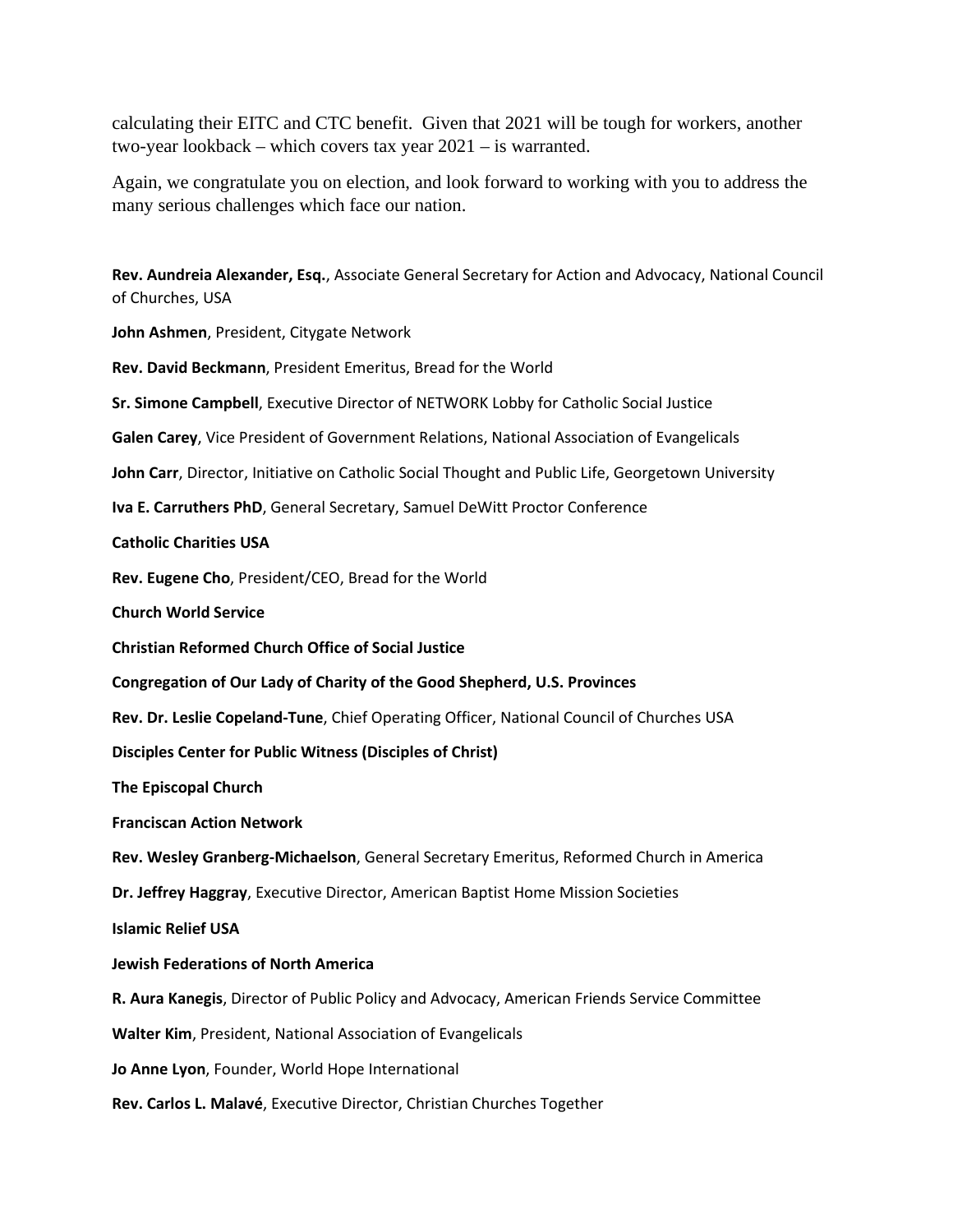calculating their EITC and CTC benefit. Given that 2021 will be tough for workers, another two-year lookback – which covers tax year 2021 – is warranted.

Again, we congratulate you on election, and look forward to working with you to address the many serious challenges which face our nation.

**Rev. Aundreia Alexander, Esq.**, Associate General Secretary for Action and Advocacy, National Council of Churches, USA **John Ashmen**, President, Citygate Network **Rev. David Beckmann**, President Emeritus, Bread for the World **Sr. Simone Campbell**, Executive Director of NETWORK Lobby for Catholic Social Justice **Galen Carey**, Vice President of Government Relations, National Association of Evangelicals **John Carr**, Director, Initiative on Catholic Social Thought and Public Life, Georgetown University **Iva E. Carruthers PhD**, General Secretary, Samuel DeWitt Proctor Conference **Catholic Charities USA Rev. Eugene Cho**, President/CEO, Bread for the World **Church World Service Christian Reformed Church Office of Social Justice Congregation of Our Lady of Charity of the Good Shepherd, U.S. Provinces Rev. Dr. Leslie Copeland-Tune**, Chief Operating Officer, National Council of Churches USA **Disciples Center for Public Witness (Disciples of Christ) The Episcopal Church Franciscan Action Network Rev. Wesley Granberg-Michaelson**, General Secretary Emeritus, Reformed Church in America **Dr. Jeffrey Haggray**, Executive Director, American Baptist Home Mission Societie[s](http://abhms.org/) **Islamic Relief USA Jewish Federations of North America R. Aura Kanegis**, Director of Public Policy and Advocacy, American Friends Service Committee **Walter Kim**, President, National Association of Evangelicals **Jo Anne Lyon**, Founder, World Hope International **Rev. Carlos L. Malavé**, Executive Director, Christian Churches Together